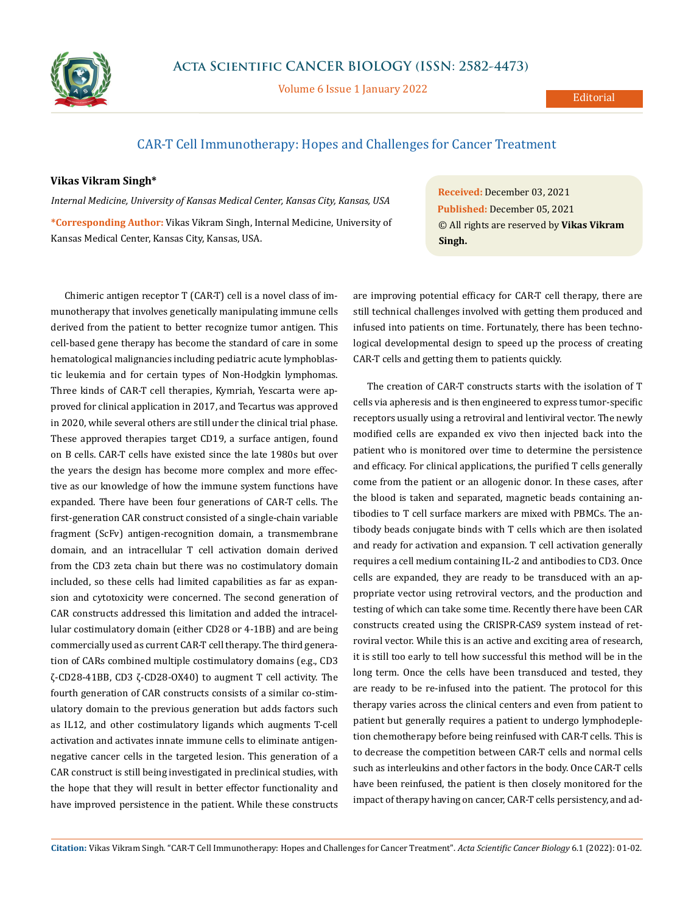

Volume 6 Issue 1 January 2022

## CAR-T Cell Immunotherapy: Hopes and Challenges for Cancer Treatment

## **Vikas Vikram Singh\***

*Internal Medicine, University of Kansas Medical Center, Kansas City, Kansas, USA* **\*Corresponding Author:** Vikas Vikram Singh, Internal Medicine, University of Kansas Medical Center, Kansas City, Kansas, USA.

Chimeric antigen receptor T (CAR-T) cell is a novel class of immunotherapy that involves genetically manipulating immune cells derived from the patient to better recognize tumor antigen. This cell-based gene therapy has become the standard of care in some hematological malignancies including pediatric acute lymphoblastic leukemia and for certain types of Non-Hodgkin lymphomas. Three kinds of CAR-T cell therapies, Kymriah, Yescarta were approved for clinical application in 2017, and Tecartus was approved in 2020, while several others are still under the clinical trial phase. These approved therapies target CD19, a surface antigen, found on B cells. CAR-T cells have existed since the late 1980s but over the years the design has become more complex and more effective as our knowledge of how the immune system functions have expanded. There have been four generations of CAR-T cells. The first-generation CAR construct consisted of a single-chain variable fragment (ScFv) antigen-recognition domain, a transmembrane domain, and an intracellular T cell activation domain derived from the CD3 zeta chain but there was no costimulatory domain included, so these cells had limited capabilities as far as expansion and cytotoxicity were concerned. The second generation of CAR constructs addressed this limitation and added the intracellular costimulatory domain (either CD28 or 4-1BB) and are being commercially used as current CAR-T cell therapy. The third generation of CARs combined multiple costimulatory domains (e.g., CD3 ζ-CD28-41BB, CD3 ζ-CD28-OX40) to augment T cell activity. The fourth generation of CAR constructs consists of a similar co-stimulatory domain to the previous generation but adds factors such as IL12, and other costimulatory ligands which augments T-cell activation and activates innate immune cells to eliminate antigennegative cancer cells in the targeted lesion. This generation of a CAR construct is still being investigated in preclinical studies, with the hope that they will result in better effector functionality and have improved persistence in the patient. While these constructs

**Received:** December 03, 2021 **Published:** December 05, 2021 © All rights are reserved by **Vikas Vikram Singh.**

are improving potential efficacy for CAR-T cell therapy, there are still technical challenges involved with getting them produced and infused into patients on time. Fortunately, there has been technological developmental design to speed up the process of creating CAR-T cells and getting them to patients quickly.

The creation of CAR-T constructs starts with the isolation of T cells via apheresis and is then engineered to express tumor-specific receptors usually using a retroviral and lentiviral vector. The newly modified cells are expanded ex vivo then injected back into the patient who is monitored over time to determine the persistence and efficacy. For clinical applications, the purified T cells generally come from the patient or an allogenic donor. In these cases, after the blood is taken and separated, magnetic beads containing antibodies to T cell surface markers are mixed with PBMCs. The antibody beads conjugate binds with T cells which are then isolated and ready for activation and expansion. T cell activation generally requires a cell medium containing IL-2 and antibodies to CD3. Once cells are expanded, they are ready to be transduced with an appropriate vector using retroviral vectors, and the production and testing of which can take some time. Recently there have been CAR constructs created using the CRISPR-CAS9 system instead of retroviral vector. While this is an active and exciting area of research, it is still too early to tell how successful this method will be in the long term. Once the cells have been transduced and tested, they are ready to be re-infused into the patient. The protocol for this therapy varies across the clinical centers and even from patient to patient but generally requires a patient to undergo lymphodepletion chemotherapy before being reinfused with CAR-T cells. This is to decrease the competition between CAR-T cells and normal cells such as interleukins and other factors in the body. Once CAR-T cells have been reinfused, the patient is then closely monitored for the impact of therapy having on cancer, CAR-T cells persistency, and ad-

**Citation:** Vikas Vikram Singh*.* "CAR-T Cell Immunotherapy: Hopes and Challenges for Cancer Treatment". *Acta Scientific Cancer Biology* 6.1 (2022): 01-02.